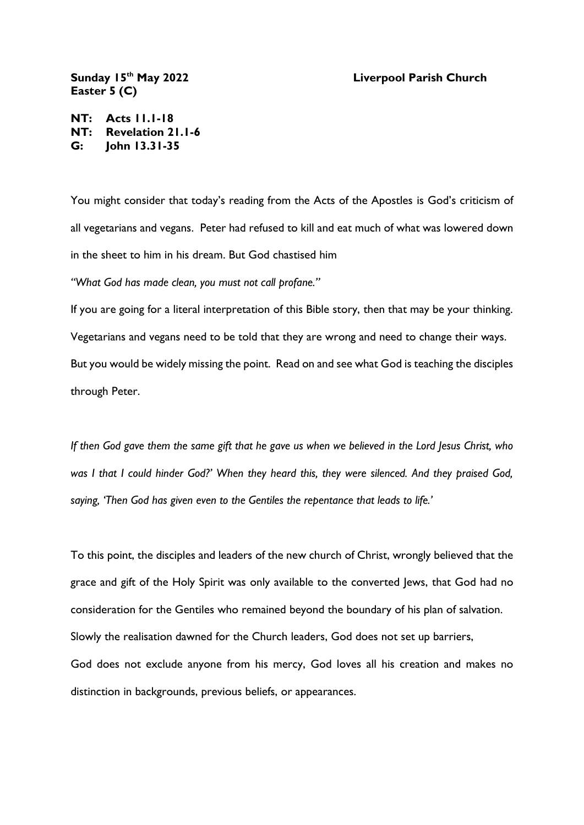## **th May 2022 Liverpool Parish Church**

**Sunday 15 Easter 5 (C)**

**NT: Acts 11.1-18 NT: Revelation 21.1-6 G: John 13.31-35**

You might consider that today's reading from the Acts of the Apostles is God's criticism of all vegetarians and vegans. Peter had refused to kill and eat much of what was lowered down in the sheet to him in his dream. But God chastised him

*"What God has made clean, you must not call profane."*

If you are going for a literal interpretation of this Bible story, then that may be your thinking. Vegetarians and vegans need to be told that they are wrong and need to change their ways. But you would be widely missing the point. Read on and see what God is teaching the disciples through Peter.

*If then God gave them the same gift that he gave us when we believed in the Lord Jesus Christ, who was I that I could hinder God?' When they heard this, they were silenced. And they praised God, saying, 'Then God has given even to the Gentiles the repentance that leads to life.'*

To this point, the disciples and leaders of the new church of Christ, wrongly believed that the grace and gift of the Holy Spirit was only available to the converted Jews, that God had no consideration for the Gentiles who remained beyond the boundary of his plan of salvation. Slowly the realisation dawned for the Church leaders, God does not set up barriers, God does not exclude anyone from his mercy, God loves all his creation and makes no distinction in backgrounds, previous beliefs, or appearances.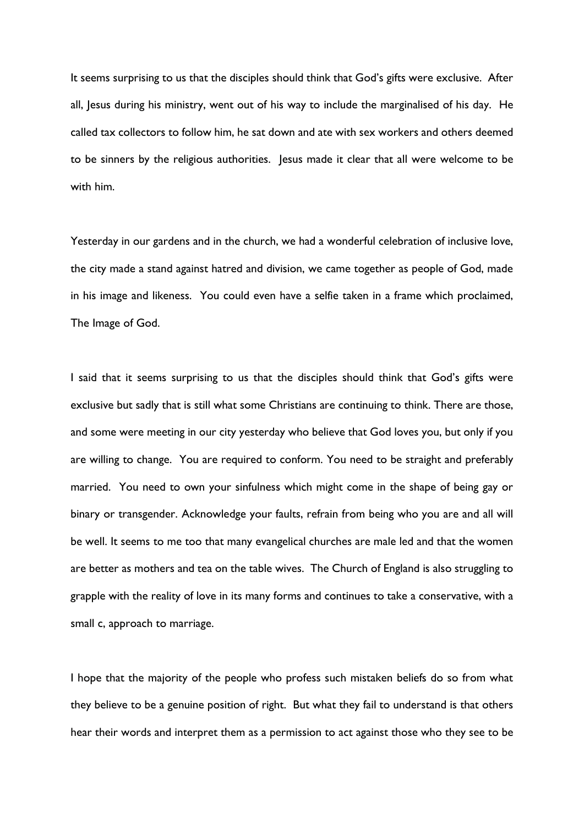It seems surprising to us that the disciples should think that God's gifts were exclusive. After all, Jesus during his ministry, went out of his way to include the marginalised of his day. He called tax collectors to follow him, he sat down and ate with sex workers and others deemed to be sinners by the religious authorities. Jesus made it clear that all were welcome to be with him.

Yesterday in our gardens and in the church, we had a wonderful celebration of inclusive love, the city made a stand against hatred and division, we came together as people of God, made in his image and likeness. You could even have a selfie taken in a frame which proclaimed, The Image of God.

I said that it seems surprising to us that the disciples should think that God's gifts were exclusive but sadly that is still what some Christians are continuing to think. There are those, and some were meeting in our city yesterday who believe that God loves you, but only if you are willing to change. You are required to conform. You need to be straight and preferably married. You need to own your sinfulness which might come in the shape of being gay or binary or transgender. Acknowledge your faults, refrain from being who you are and all will be well. It seems to me too that many evangelical churches are male led and that the women are better as mothers and tea on the table wives. The Church of England is also struggling to grapple with the reality of love in its many forms and continues to take a conservative, with a small c, approach to marriage.

I hope that the majority of the people who profess such mistaken beliefs do so from what they believe to be a genuine position of right. But what they fail to understand is that others hear their words and interpret them as a permission to act against those who they see to be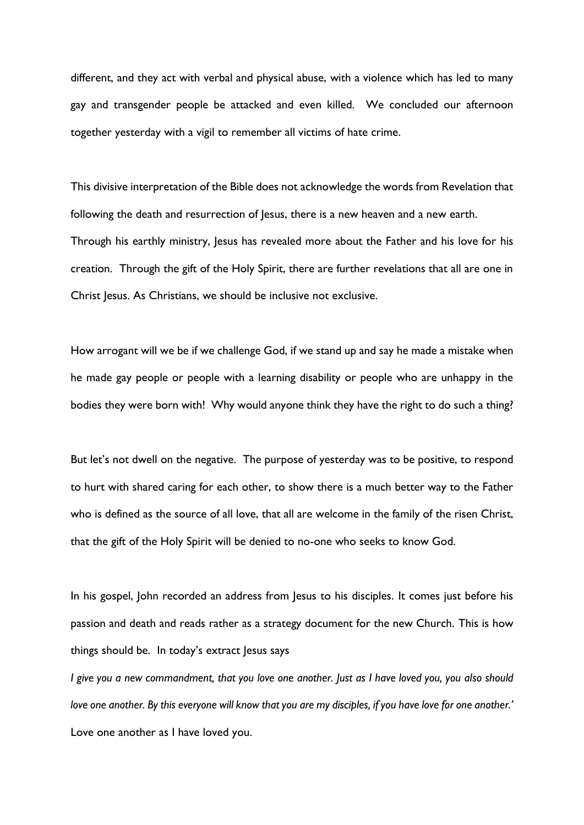different, and they act with verbal and physical abuse, with a violence which has led to many gay and transgender people be attacked and even killed. We concluded our afternoon together yesterday with a vigil to remember all victims of hate crime.

This divisive interpretation of the Bible does not acknowledge the words from Revelation that following the death and resurrection of Jesus, there is a new heaven and a new earth. Through his earthly ministry, Jesus has revealed more about the Father and his love for his creation. Through the gift of the Holy Spirit, there are further revelations that all are one in Christ Jesus. As Christians, we should be inclusive not exclusive.

How arrogant will we be if we challenge God, if we stand up and say he made a mistake when he made gay people or people with a learning disability or people who are unhappy in the bodies they were born with! Why would anyone think they have the right to do such a thing?

But let's not dwell on the negative. The purpose of yesterday was to be positive, to respond to hurt with shared caring for each other, to show there is a much better way to the Father who is defined as the source of all love, that all are welcome in the family of the risen Christ, that the gift of the Holy Spirit will be denied to no-one who seeks to know God.

In his gospel, John recorded an address from Jesus to his disciples. It comes just before his passion and death and reads rather as a strategy document for the new Church. This is how things should be. In today's extract Jesus says

*I give you a new commandment, that you love one another. Just as I have loved you, you also should love one another. By this everyone will know that you are my disciples, if you have love for one another.'* Love one another as I have loved you.